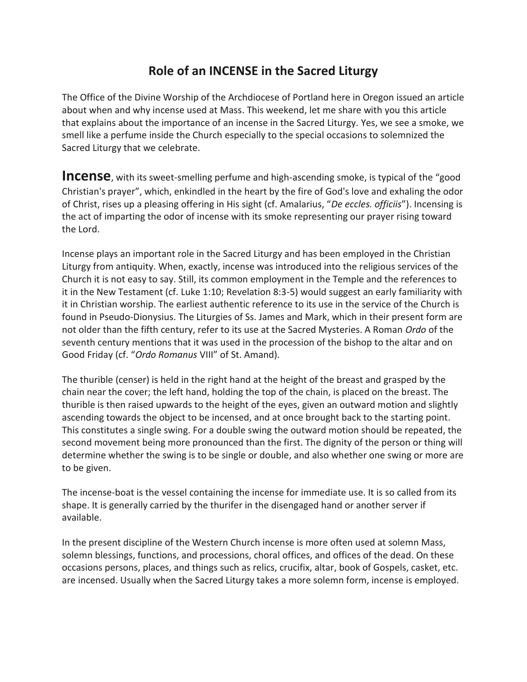## **Role of an INCENSE in the Sacred Liturgy**

The Office of the Divine Worship of the Archdiocese of Portland here in Oregon issued an article about when and why incense used at Mass. This weekend, let me share with you this article that explains about the importance of an incense in the Sacred Liturgy. Yes, we see a smoke, we smell like a perfume inside the Church especially to the special occasions to solemnized the Sacred Liturgy that we celebrate.

**Incense**, with its sweet-smelling perfume and high-ascending smoke, is typical of the "good Christian's prayer", which, enkindled in the heart by the fire of God's love and exhaling the odor of Christ, rises up a pleasing offering in His sight (cf. Amalarius, "*De eccles. officiis*"). Incensing is the act of imparting the odor of incense with its smoke representing our prayer rising toward the Lord.

Incense plays an important role in the Sacred Liturgy and has been employed in the Christian Liturgy from antiquity. When, exactly, incense was introduced into the religious services of the Church it is not easy to say. Still, its common employment in the Temple and the references to it in the New Testament (cf. Luke 1:10; Revelation 8:3-5) would suggest an early familiarity with it in Christian worship. The earliest authentic reference to its use in the service of the Church is found in Pseudo-Dionysius. The Liturgies of Ss. James and Mark, which in their present form are not older than the fifth century, refer to its use at the Sacred Mysteries. A Roman *Ordo* of the seventh century mentions that it was used in the procession of the bishop to the altar and on Good Friday (cf. "*Ordo Romanus* VIII" of St. Amand).

The thurible (censer) is held in the right hand at the height of the breast and grasped by the chain near the cover; the left hand, holding the top of the chain, is placed on the breast. The thurible is then raised upwards to the height of the eyes, given an outward motion and slightly ascending towards the object to be incensed, and at once brought back to the starting point. This constitutes a single swing. For a double swing the outward motion should be repeated, the second movement being more pronounced than the first. The dignity of the person or thing will determine whether the swing is to be single or double, and also whether one swing or more are to be given.

The incense-boat is the vessel containing the incense for immediate use. It is so called from its shape. It is generally carried by the thurifer in the disengaged hand or another server if available.

In the present discipline of the Western Church incense is more often used at solemn Mass, solemn blessings, functions, and processions, choral offices, and offices of the dead. On these occasions persons, places, and things such as relics, crucifix, altar, book of Gospels, casket, etc. are incensed. Usually when the Sacred Liturgy takes a more solemn form, incense is employed.